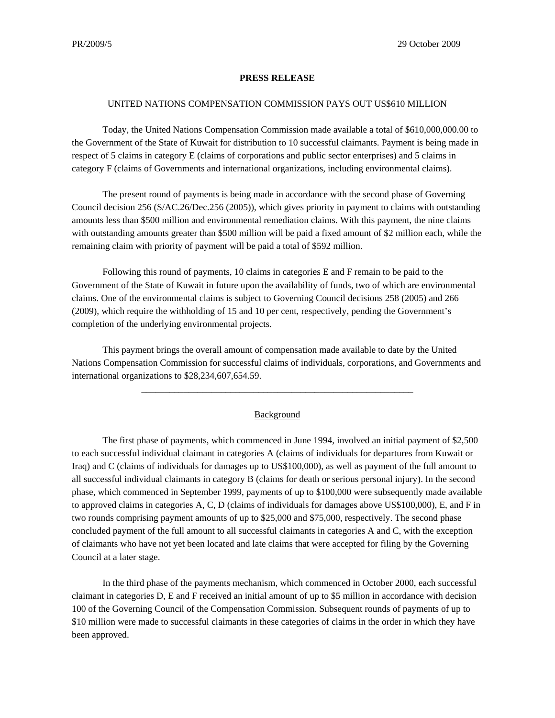## **PRESS RELEASE**

## UNITED NATIONS COMPENSATION COMMISSION PAYS OUT US\$610 MILLION

Today, the United Nations Compensation Commission made available a total of \$610,000,000.00 to the Government of the State of Kuwait for distribution to 10 successful claimants. Payment is being made in respect of 5 claims in category E (claims of corporations and public sector enterprises) and 5 claims in category F (claims of Governments and international organizations, including environmental claims).

The present round of payments is being made in accordance with the second phase of Governing Council decision 256 (S/AC.26/Dec.256 (2005)), which gives priority in payment to claims with outstanding amounts less than \$500 million and environmental remediation claims. With this payment, the nine claims with outstanding amounts greater than \$500 million will be paid a fixed amount of \$2 million each, while the remaining claim with priority of payment will be paid a total of \$592 million.

Following this round of payments, 10 claims in categories E and F remain to be paid to the Government of the State of Kuwait in future upon the availability of funds, two of which are environmental claims. One of the environmental claims is subject to Governing Council decisions 258 (2005) and 266 (2009), which require the withholding of 15 and 10 per cent, respectively, pending the Government's completion of the underlying environmental projects.

This payment brings the overall amount of compensation made available to date by the United Nations Compensation Commission for successful claims of individuals, corporations, and Governments and international organizations to \$28,234,607,654.59.

## **Background**

\_\_\_\_\_\_\_\_\_\_\_\_\_\_\_\_\_\_\_\_\_\_\_\_\_\_\_\_\_\_\_\_\_\_\_\_\_\_\_\_\_\_\_\_\_\_\_\_\_\_\_\_\_\_\_\_\_\_

The first phase of payments, which commenced in June 1994, involved an initial payment of \$2,500 to each successful individual claimant in categories A (claims of individuals for departures from Kuwait or Iraq) and C (claims of individuals for damages up to US\$100,000), as well as payment of the full amount to all successful individual claimants in category B (claims for death or serious personal injury). In the second phase, which commenced in September 1999, payments of up to \$100,000 were subsequently made available to approved claims in categories A, C, D (claims of individuals for damages above US\$100,000), E, and F in two rounds comprising payment amounts of up to \$25,000 and \$75,000, respectively. The second phase concluded payment of the full amount to all successful claimants in categories A and C, with the exception of claimants who have not yet been located and late claims that were accepted for filing by the Governing Council at a later stage.

In the third phase of the payments mechanism, which commenced in October 2000, each successful claimant in categories D, E and F received an initial amount of up to \$5 million in accordance with decision 100 of the Governing Council of the Compensation Commission. Subsequent rounds of payments of up to \$10 million were made to successful claimants in these categories of claims in the order in which they have been approved.